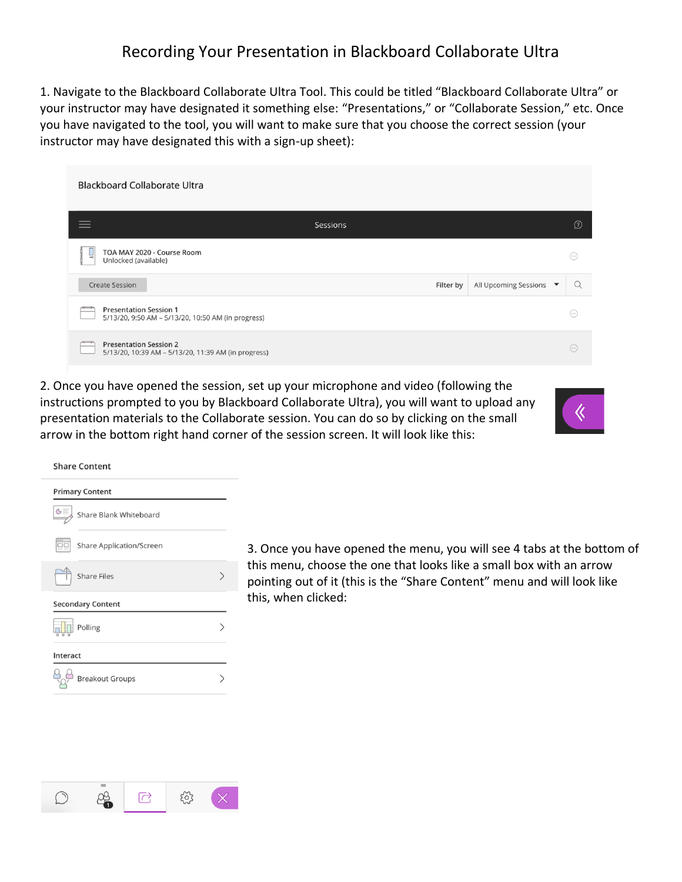## Recording Your Presentation in Blackboard Collaborate Ultra

1. Navigate to the Blackboard Collaborate Ultra Tool. This could be titled "Blackboard Collaborate Ultra" or your instructor may have designated it something else: "Presentations," or "Collaborate Session," etc. Once you have navigated to the tool, you will want to make sure that you choose the correct session (your instructor may have designated this with a sign-up sheet):



2. Once you have opened the session, set up your microphone and video (following the instructions prompted to you by Blackboard Collaborate Ultra), you will want to upload any presentation materials to the Collaborate session. You can do so by clicking on the small arrow in the bottom right hand corner of the session screen. It will look like this:



| <b>Primary Content</b>              |  |
|-------------------------------------|--|
| $\infty$<br>Share Blank Whiteboard  |  |
| Share Application/Screen<br>C<br>JΓ |  |
| <b>Share Files</b>                  |  |
| <b>Secondary Content</b>            |  |
| Polling                             |  |
| Interact                            |  |
| <b>Breakout Groups</b>              |  |

3. Once you have opened the menu, you will see 4 tabs at the bottom of this menu, choose the one that looks like a small box with an arrow pointing out of it (this is the "Share Content" menu and will look like this, when clicked:

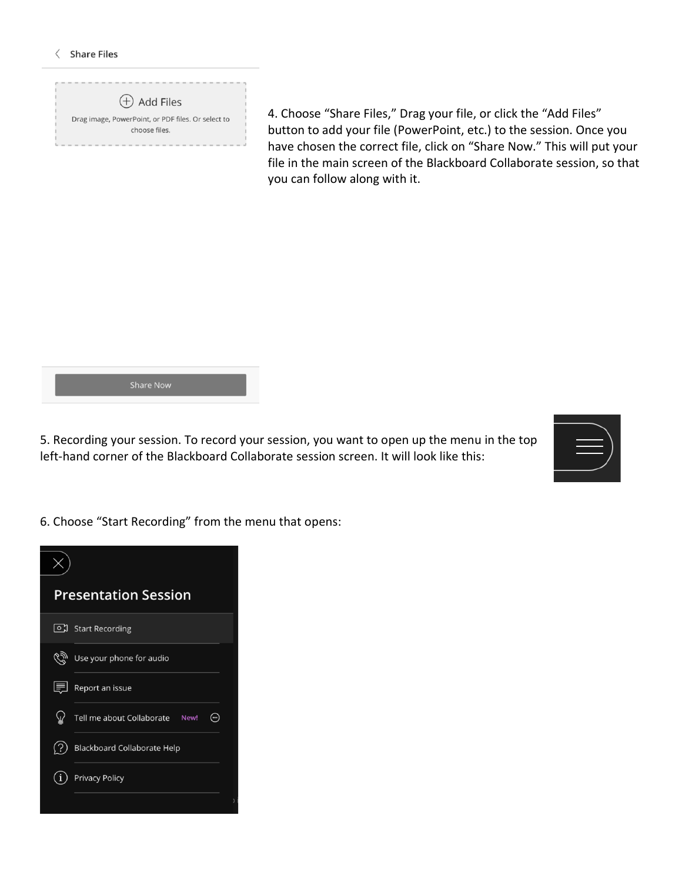$\langle$  Share Files

 $(A)$  Add Files Drag image, PowerPoint, or PDF files. Or select to choose files.

4. Choose "Share Files," Drag your file, or click the "Add Files" button to add your file (PowerPoint, etc.) to the session. Once you have chosen the correct file, click on "Share Now." This will put your file in the main screen of the Blackboard Collaborate session, so that you can follow along with it.

Share Now

5. Recording your session. To record your session, you want to open up the menu in the top left-hand corner of the Blackboard Collaborate session screen. It will look like this:



6. Choose "Start Recording" from the menu that opens: